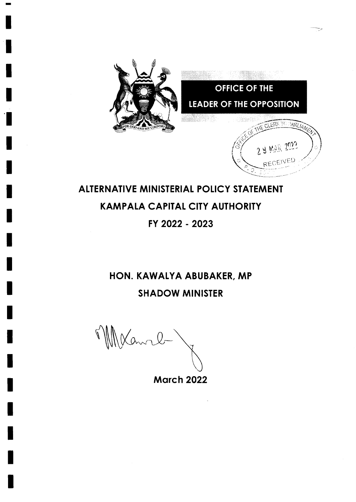

# ALTERNATIVE MINISTERIAL POLICY STATEMENT **KAMPALA CAPITAL CITY AUTHORITY** FY 2022 - 2023

## HON. KAWALYA ABUBAKER, MP **SHADOW MINISTER**

Warre-

**March 2022**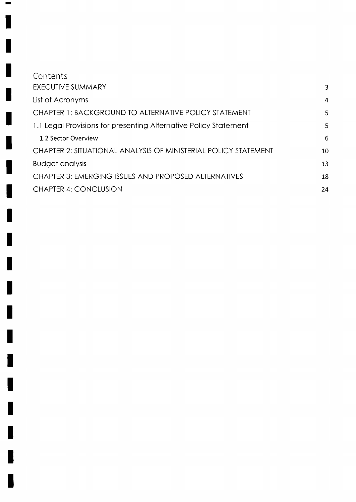| Contents                                                         |    |
|------------------------------------------------------------------|----|
| <b>EXECUTIVE SUMMARY</b>                                         | 3  |
| List of Acronyms                                                 | 4  |
| CHAPTER 1: BACKGROUND TO ALTERNATIVE POLICY STATEMENT            | 5  |
| 1.1 Legal Provisions for presenting Alternative Policy Statement | 5  |
| 1.2 Sector Overview                                              | 6  |
| CHAPTER 2: SITUATIONAL ANALYSIS OF MINISTERIAL POLICY STATEMENT  | 10 |
| <b>Budget analysis</b>                                           | 13 |
| <b>CHAPTER 3: EMERGING ISSUES AND PROPOSED ALTERNATIVES</b>      | 18 |
| <b>CHAPTER 4: CONCLUSION</b>                                     | 24 |

H

H

ı

h

Γ

I

I

L

 $\overline{\phantom{a}}$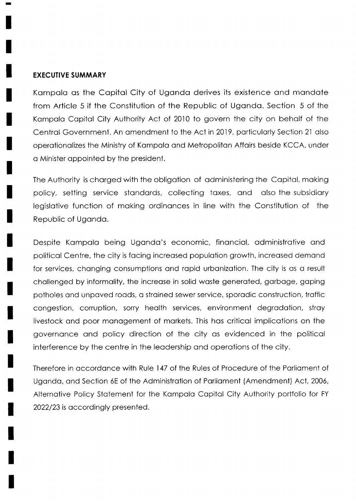#### EXECUTIVE SUMMARY

Kompolo os the Copitol City of Ugondo derives its existence ond mondote from Article 5 if the Constitution of the Republic of Ugondo. Section 5 of the Kompolo Copitol City Authority Act of 2010 to govern the city on beholf of the Centrol Government. An omendment to the Act in 2019, porticulorly Section 2l olso operotionolizes the Ministry of Kompolo ond Metropoliton Affoirs beside KCCA, under a Minister appointed by the president.

The Authority is chorged with the obligotion of odministering the Copitol, moking policy, setting service stondords, collecting toxes, ond olso the subsidiory legislotive function of moking ordinonces in line with the Constitution of the Republic of Ugondo.

Despite Kompolo being Ugondo's economic, finonciol, odministrotive ond politicol Centre, the city is focing increosed populotion growth, increosed demond for services, changing consumptions and rapid urbanization. The city is as a result chollenged by informolity, the increose in solid woste generoted, gorboge, goping potholes ond unpoved roods, o stroined sewer service, sporodic construction, troffic congestion, corruption, sorry heolth services, environment degrodotion, stroy livestock ond poor monogement of morkets. This hos criticol implicotions on the governonce ond policy direction of the city os evidenced in the politicol interference by the centre in the leodership ond operotions of the city.

Therefore in occordonce with Rule 147 of the Rules of Procedure of the Porlioment of Uganda, and Section 6E of the Administration of Parliament (Amendment) Act, 2006, Alternotive Policy Stotement for the Kompolo Copitol City Authority portfolio for FY 2022/23 is accordingly presented.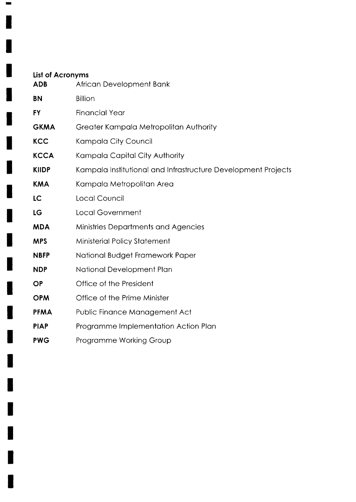| List of Acronyms<br><b>ADB</b> | African Development Bank                                      |
|--------------------------------|---------------------------------------------------------------|
| <b>BN</b>                      | <b>Billion</b>                                                |
| <b>FY</b>                      | <b>Financial Year</b>                                         |
| <b>GKMA</b>                    | Greater Kampala Metropolitan Authority                        |
| <b>KCC</b>                     | Kampala City Council                                          |
| <b>KCCA</b>                    | Kampala Capital City Authority                                |
| <b>KIIDP</b>                   | Kampala Institutional and Infrastructure Development Projects |
| <b>KMA</b>                     | Kampala Metropolitan Area                                     |
| <b>LC</b>                      | Local Council                                                 |
| LG                             | <b>Local Government</b>                                       |
| <b>MDA</b>                     | Ministries Departments and Agencies                           |
| <b>MPS</b>                     | Ministerial Policy Statement                                  |
| <b>NBFP</b>                    | National Budget Framework Paper                               |
| <b>NDP</b>                     | National Development Plan                                     |
| <b>OP</b>                      | Office of the President                                       |
| <b>OPM</b>                     | Office of the Prime Minister                                  |
| <b>PFMA</b>                    | Public Finance Management Act                                 |
| <b>PIAP</b>                    | Programme Implementation Action Plan                          |
| <b>PWG</b>                     | <b>Programme Working Group</b>                                |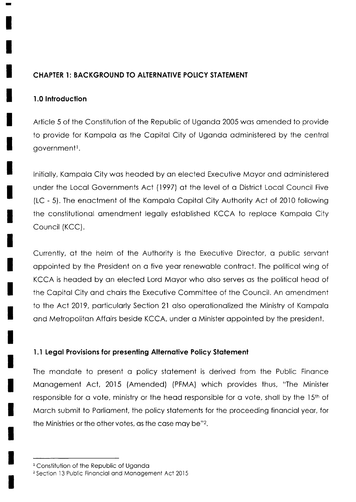## **CHAPTER 1: BACKGROUND TO ALTERNATIVE POLICY STATEMENT**

#### 1.0 Introduction

Article 5 of the Constitution of the Republic of Uganda 2005 was amended to provide to provide for Kampala as the Capital City of Uganda administered by the central government<sup>1</sup>.

Initially, Kampala City was headed by an elected Executive Mayor and administered under the Local Governments Act (1997) at the level of a District Local Council Five (LC - 5). The enactment of the Kampala Capital City Authority Act of 2010 following the constitutional amendment legally established KCCA to replace Kampala City Council (KCC).

Currently, at the helm of the Authority is the Executive Director, a public servant appointed by the President on a five year renewable contract. The political wing of KCCA is headed by an elected Lord Mayor who also serves as the political head of the Capital City and chairs the Executive Committee of the Council. An amendment to the Act 2019, particularly Section 21 also operationalized the Ministry of Kampala and Metropolitan Affairs beside KCCA, under a Minister appointed by the president.

## 1.1 Legal Provisions for presenting Alternative Policy Statement

The mandate to present a policy statement is derived from the Public Finance Management Act, 2015 (Amended) (PFMA) which provides thus, "The Minister responsible for a vote, ministry or the head responsible for a vote, shall by the 15th of March submit to Parliament, the policy statements for the proceeding financial year, for the Ministries or the other votes, as the case may be"?.

<sup>&</sup>lt;sup>1</sup> Constitution of the Republic of Uganda

<sup>&</sup>lt;sup>2</sup> Section 13 Public Financial and Management Act 2015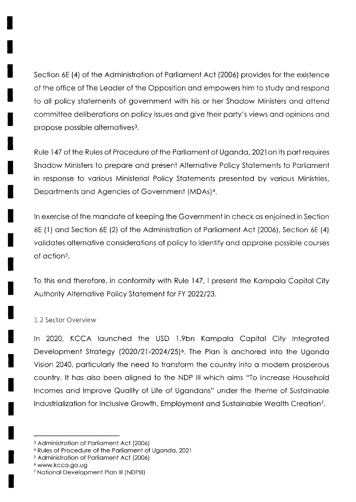Section 6E (4) of the Administration of Parliament Act (2006) provides for the existence of the office of The Leader of the Opposition and empowers him to study and respond to all policy statements of government with his or her Shadow Ministers and attend committee deliberations on policy issues and give their party's views and opinions and propose possible alternatives<sup>3</sup>.

Rule 147 of the Rules of Procedure of the Parliament of Uganda, 2021 on its part requires Shadow Ministers to prepare and present Alternative Policy Statements to Parliament in response to various Ministerial Policy Statements presented by various Ministries, Departments and Agencies of Government (MDAs)<sup>4</sup>.

In exercise of the mandate of keeping the Government in check as enjoined in Section 6E (1) and Section 6E (2) of the Administration of Parliament Act (2006), Section 6E (4) validates alternative considerations of policy to identify and appraise possible courses of action<sup>5</sup>.

To this end therefore, in conformity with Rule 147, I present the Kampala Capital City Authority Alternative Policy Statement for FY 2022/23.

#### 1.2 Sector Overview

In 2020, KCCA launched the USD 1.9bn Kampala Capital City Integrated Development Strategy (2020/21-2024/25)<sup>6</sup>. The Plan is anchored into the Uganda Vision 2040, particularly the need to transform the country into a modern prosperous country. It has also been aligned to the NDP III which aims "To Increase Household Incomes and Improve Quality of Life of Ugandans" under the theme of Sustainable Industrialization for Inclusive Growth, Employment and Sustainable Wealth Creation<sup>7</sup>.

<sup>&</sup>lt;sup>3</sup> Administration of Parliament Act (2006)

<sup>&</sup>lt;sup>4</sup> Rules of Procedure of the Parliament of Uganda, 2021

<sup>&</sup>lt;sup>5</sup> Administration of Parliament Act (2006)

<sup>6</sup> www.kcca.go.ug

<sup>&</sup>lt;sup>7</sup> National Development Plan III (NDPIII)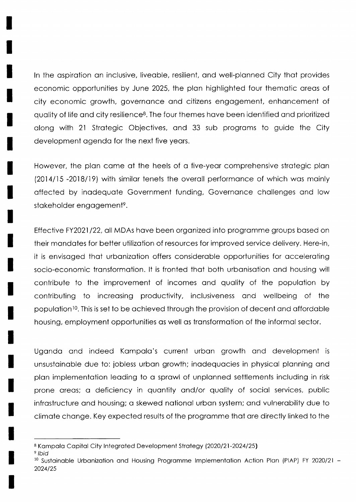ln the ospirotion on inclusive, liveoble, resilient, ond well-plonned City thot provides economic opportunities by June 2025, the plon highlighted four themotic oreos of city economic growth, governonce ond citizens engogement, enhoncement of quality of life and city resilience<sup>8</sup>. The four themes have been identified and prioritized olong with 21 Strotegic Objectives, ond 33 sub progroms to guide the City development ogendo for the next five yeors.

However, the plan came at the heels of a five-year comprehensive strategic plan (2014/15 -2018/19) with similar tenets the overall performance of which was mainly offected by inodequote Government funding, Governonce chollenges ond low stakeholder engagement<sup>9</sup>.

Effective FY2021/22, all MDAs have been organized into programme groups based on their mondotes for better utilizotion of resources for improved service delivery. Here-in, it is envisoged thot urbonizotion offers consideroble opportunities for occeleroting socio-economic transformation. It is fronted that both urbanisation and housing will contribute to the improvement of incomes ond quolity of the populotion by contributing to increosing productivity, inclusiveness ond wellbeing of the population<sup>10</sup>. This is set to be achieved through the provision of decent and affordable housing, employment opportunities as well as transformation of the informal sector.

Ugondo ond indeed Kompolo's current urbon growth ond development is unsustainable due to: jobless urban growth; inadequacies in physical planning and plon implementotion leoding to o sprowl of unplonned settlements including in risk prone areas; a deficiency in quantity and/or quality of social services, public infrostructure ond housing; o skewed notionol urbon system; ond vulnerobility due to climote chonge. Key expected results of the progromme thot ore directly linked to the

<sup>9</sup> Ibid

<sup>&</sup>lt;sup>8</sup> Kampala Capital City Integrated Development Strategy (2020/21-2024/25)

 $10$  Sustainable Urbanization and Housing Programme Implementation Action Plan (PIAP) FY 2020/21 -2024125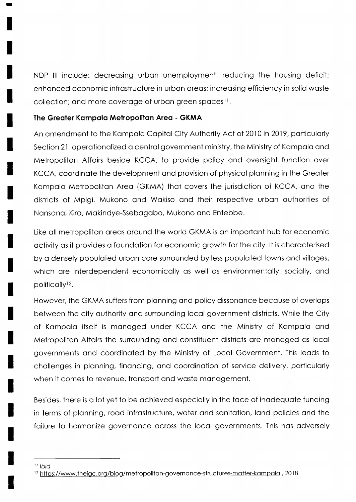NDP lll include: decreosing urbon unemployment; reducing the housing deficit; enhanced economic infrastructure in urban areas; increasing efficiency in solid waste collection; and more coverage of urban green spaces<sup>11</sup>.

#### The Greater Kampala Metropolitan Area - GKMA

An amendment to the Kampala Capital City Authority Act of 2010 in 2019, particularly Section 21 operationalized a central government ministry, the Ministry of Kampala and Metropoliton Affoirs beside KCCA, to provide policy ond oversight function over KCCA, coordinote the development ond provision of physicol plonning in the Greoter Kampala Metropolitan Area (GKMA) that covers the jurisdiction of KCCA, and the districts of Mpigi, Mukono ond Wokiso ond their respective urbon outhorities of Nonsono, Kiro, Mokindye-Ssebogobo, Mukono ond Entebbe.

Like oll metropoliton oreos oround the world GKMA is on importont hub for economic octivity os it provides o foundotion for economic growth for the city. lt is chorocterised by o densely populoted urbon core surrounded by less populoted towns ond villoges, which are interdependent economically as well as environmentally, socially, and politically<sup>12</sup>.

However, the GKMA suffers from planning and policy dissonance because of overlaps between the city outhority ond surrounding locol government districts. While the City of Kompolo itself is monoged under KCCA ond the Ministry of Kompolo ond Metropoliton Affoirs the surrounding ond constituent districts ore monoged os locol governments ond coordinoted by the Ministry of Locol Government. This leods to chollenges in plonning, finoncing, ond coordinotion of service delivery, porticulorly when it comes to revenue, transport and waste management.

Besides, there is o lot yet to be ochieved especiolly in the foce of inodequote funding in terms of planning, road infrastructure, water and sanitation, land policies and the failure to harmonize governance across the local governments. This has adversely

u lbid

<sup>&</sup>lt;sup>12</sup> https://www.theigc.org/blog/metropolitan-governance-structures-matter-kampala, 2018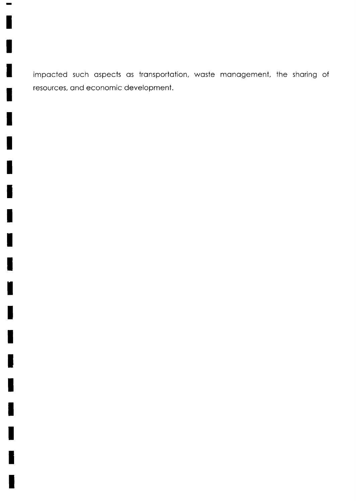impacted such aspects as transportation, waste management, the sharing of resources, and economic development.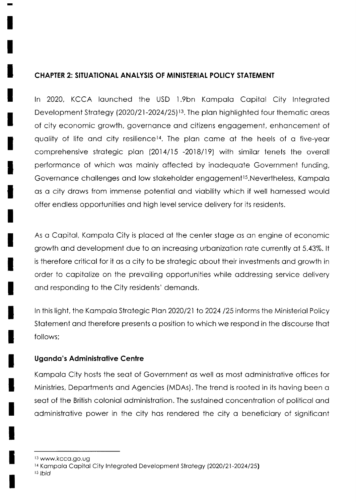## **CHAPTER 2: SITUATIONAL ANALYSIS OF MINISTERIAL POLICY STATEMENT**

In 2020, KCCA launched the USD 1.9bn Kampala Capital City Integrated Development Strategy (2020/21-2024/25)<sup>13</sup>. The plan highlighted four thematic areas of city economic growth, governance and citizens engagement, enhancement of quality of life and city resilience<sup>14</sup>. The plan came at the heels of a five-year comprehensive strategic plan (2014/15 -2018/19) with similar tenets the overall performance of which was mainly affected by inadequate Government funding, Governance challenges and low stakeholder engagement<sup>15</sup>. Nevertheless, Kampala as a city draws from immense potential and viability which if well harnessed would offer endless opportunities and high level service delivery for its residents.

As a Capital, Kampala City is placed at the center stage as an engine of economic growth and development due to an increasing urbanization rate currently at 5.43%. It is therefore critical for it as a city to be strategic about their investments and growth in order to capitalize on the prevailing opportunities while addressing service delivery and responding to the City residents' demands.

In this light, the Kampala Strategic Plan 2020/21 to 2024 /25 informs the Ministerial Policy Statement and therefore presents a position to which we respond in the discourse that follows:

#### **Uganda's Administrative Centre**

Kampala City hosts the seat of Government as well as most administrative offices for Ministries, Departments and Agencies (MDAs). The trend is rooted in its having been a seat of the British colonial administration. The sustained concentration of political and administrative power in the city has rendered the city a beneficiary of significant

15 Ibid

<sup>&</sup>lt;sup>13</sup> www.kcca.go.ug

<sup>&</sup>lt;sup>14</sup> Kampala Capital City Integrated Development Strategy (2020/21-2024/25**)**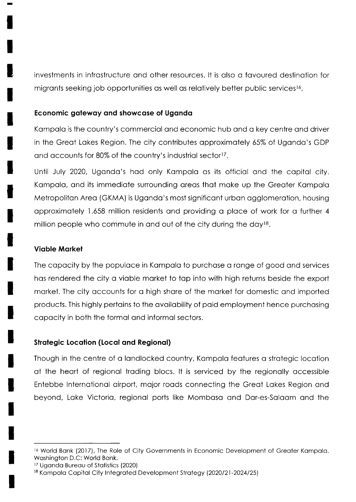investments in infrostructure ond other resources. lt is olso o fovoured destinotion for migrants seeking job opportunities as well as relatively better public services<sup>16</sup>.

#### Economic gateway and showcase of Uganda

Kompolo is the country's commerciol ond economic hub ond o key centre ond driver in the Greot Lokes Region. The city contributes opproximotely 65% of Ugondo's GDP and accounts for 80% of the country's industrial sector<sup>17</sup>.

Until July 2020, Ugondo's hod only Kompolo os its officiol ond the copitol city. Kampala, and its immediate surrounding areas that make up the Greater Kampala Metropolitan Area (GKMA) is Uganda's most significant urban agglomeration, housing opproximately 1.658 million residents and providing a place of work for a further 4 million people who commute in and out of the city during the  $day^{18}$ .

#### Vioble Morkel

The capacity by the populace in Kampala to purchase a range of good and services hos rendered the city o vioble morket to top into with high returns beside the export morket. The city occounts for o high shore of the morket for domestic ond imported products. This highly pertoins to the ovoilobility of poid employment hence purchosing copocity in both the formol ond informol sectors.

#### Strategic Location (Local and Regional)

Though in the centre of a landlocked country, Kampala features a strategic location of the heort of regionol troding blocs. lt is serviced by the regionolly occessible Entebbe lnternotionol oirport, mojor roods connecting the Greot Lokes Region ond beyond, Loke Victorio, regionol ports like Momboso ond Dor-es-Soloom ond the

<sup>&</sup>lt;sup>16</sup> World Bank (2017), The Role of City Governments in Economic Development of Greater Kampala. Woshington D.C: World Bonk.

<sup>&</sup>lt;sup>17</sup> Uganda Bureau of Statistics (2020)

<sup>&</sup>lt;sup>18</sup> Kampala Capital City Integrated Development Strategy (2020/21-2024/25)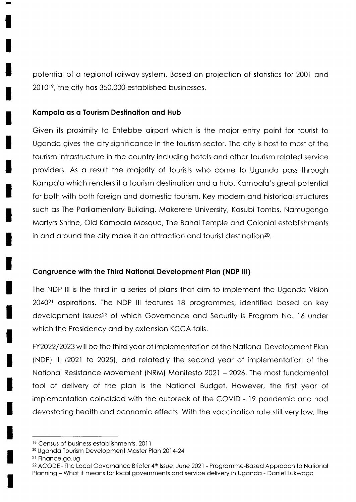potentiol of o regionol roilwoy system. Bosed on projection of stotistics for 2001 ond 20101e, the city hos 350,000 estoblished businesses.

#### Kampala as a Tourism Destination and Hub

Given its proximity to Entebbe oirport which is the mojor entry point for tourist to Ugondo gives the city significonce in the tourism sector. The city is host to most of the tourism infrostructure in the country including hotels ond other tourism reloted service providers. As o result the mojority of tourists who come to Ugondo poss through Kampala which renders it a tourism destination and a hub. Kampala's great potential for both with both foreign ond domestic tourism. Key modern ond historicol structures such os The Porliomentory Building, Mokerere University, Kosubi Tombs, Nomugongo Mortyrs Shrine, Old Kompolo Mosque, The Bohoi Temple ond Coloniol estoblishments in and around the city make it an attraction and tourist destination<sup>20</sup>.

#### Congruence with the Third National Development Plan (NDP III)

The NDP lll is the third in o series of plons thot oim to implement the Ugondo Vision 204021 ospirotions. The NDP lll feotures 18 progrommes, identified bosed on key development issues<sup>22</sup> of which Governance and Security is Program No. 16 under which the Presidency ond by extension KCCA folls.

FY202212023 will be the third yeor of implementotion of the Notionol Development Plon (NDP) III (2021 to 2025), and relatedly the second year of implementation of the National Resistance Movement (NRM) Manifesto 2021 - 2026. The most fundamental tool of delivery of the plon is the Notionol Budget. However, the first yeor of implementation coincided with the outbreak of the COVID - 19 pandemic and had devostoting heolth ond economic effects. With the voccinotion rote still very low, the

<sup>&</sup>lt;sup>19</sup> Census of business establishments, 2011

<sup>&</sup>lt;sup>20</sup> Uganda Tourism Development Master Plan 2014-24

<sup>&</sup>lt;sup>21</sup> Finance.go.ug

<sup>&</sup>lt;sup>22</sup> ACODE - The Local Governance Briefer 4<sup>th</sup> Issue, June 2021 - Programme-Based Approach to National Plonning - Whot it meons for locol governments ond service delivery in Ugondo - Doniel Lukwogo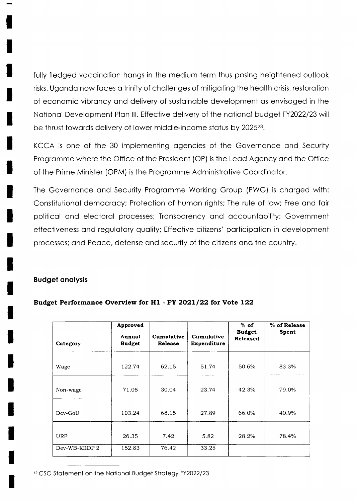fully fledged vaccination hangs in the medium term thus posing heightened outlook risks. Uganda now faces a trinity of challenges of mitigating the health crisis, restoration of economic vibrancy and delivery of sustainable development as envisaged in the National Development Plan III. Effective delivery of the national budget FY2022/23 will be thrust towards delivery of lower middle-income status by 2025<sup>23</sup>.

KCCA is one of the 30 implementing agencies of the Governance and Security Programme where the Office of the President (OP) is the Lead Agency and the Office of the Prime Minister (OPM) is the Programme Administrative Coordinator.

The Governance and Security Programme Working Group (PWG) is charged with: Constitutional democracy; Protection of human rights; The rule of law; Free and fair political and electoral processes; Transparency and accountability; Government effectiveness and regulatory quality; Effective citizens' participation in development processes; and Peace, defense and security of the citizens and the country.

#### **Budget analysis**

| Category       | Approved<br>Annual<br><b>Budget</b> | Cumulative<br><b>Release</b> | Cumulative<br>Expenditure | $%$ of<br><b>Budget</b><br><b>Released</b> | % of Release<br>Spent |
|----------------|-------------------------------------|------------------------------|---------------------------|--------------------------------------------|-----------------------|
| Wage           | 122.74                              | 62.15                        | 51.74                     | 50.6%                                      | 83.3%                 |
| Non-wage       | 71.05                               | 30.04                        | 23.74                     | 42.3%                                      | 79.0%                 |
| Dev-GoU        | 103.24                              | 68.15                        | 27.89                     | 66.0%                                      | 40.9%                 |
| URF            | 26.35                               | 7.42                         | 5.82                      | 28.2%                                      | 78.4%                 |
| Dev-WB-KIIDP 2 | 152.83                              | 76.42                        | 33.25                     |                                            |                       |

#### Budget Performance Overview for H1 - FY 2021/22 for Vote 122

<sup>23</sup> CSO Statement on the National Budget Strategy FY2022/23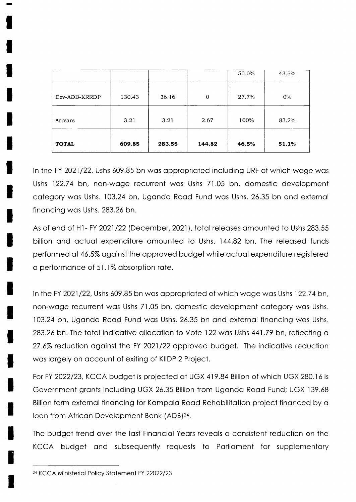| <b>TOTAL</b>  | 609.85 | 283.55 | 144.82   | 46.5% | 51.1% |
|---------------|--------|--------|----------|-------|-------|
| Arrears       | 3.21   | 3.21   | 2.67     | 100%  | 83.2% |
| Dev-ADB-KRRDP | 130.43 | 36.16  | $\Omega$ | 27.7% | $0\%$ |
|               |        |        |          | 50.0% | 43.5% |

In the FY 2021/22, Ushs 609.85 bn was appropriated including URF of which wage was Ushs 122.74 bn, non-wage recurrent was Ushs 71.05 bn, domestic development category was Ushs. 103.24 bn, Uganda Road Fund was Ushs. 26.35 bn and external financing was Ushs. 283.26 bn.

As of end of H1-FY 2021/22 (December, 2021), total releases amounted to Ushs 283.55 billion and actual expenditure amounted to Ushs. 144.82 bn. The released funds performed at 46.5% against the approved budget while actual expenditure registered a performance of 51.1% absorption rate.

In the FY 2021/22, Ushs 609.85 bn was appropriated of which wage was Ushs 122.74 bn, non-wage recurrent was Ushs 71.05 bn, domestic development category was Ushs. 103.24 bn, Uganda Road Fund was Ushs. 26.35 bn and external financing was Ushs. 283.26 bn. The total indicative allocation to Vote 122 was Ushs 441.79 bn, reflecting a 27.6% reduction against the FY 2021/22 approved budget. The indicative reduction was largely on account of exiting of KIIDP 2 Project.

For FY 2022/23, KCCA budget is projected at UGX 419.84 Billion of which UGX 280.16 is Government grants including UGX 26.35 Billion from Uganda Road Fund; UGX 139.68 Billion form external financing for Kampala Road Rehabilitation project financed by a Ioan from African Development Bank (ADB)<sup>24</sup>.

The budget trend over the last Financial Years reveals a consistent reduction on the KCCA budget and subsequently requests to Parliament for supplementary

<sup>&</sup>lt;sup>24</sup> KCCA Ministerial Policy Statement FY 22022/23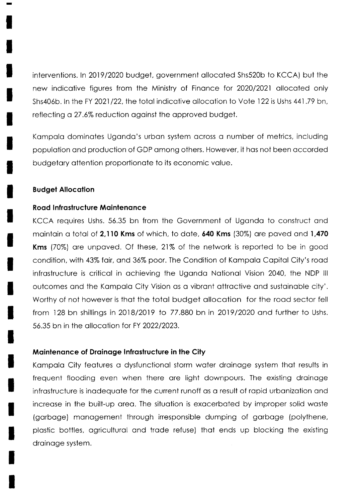interventions. ln 2019/2020 budget, government ollocoted Shs520b to KCCA) but the new indicotive figures from the Ministry of Finonce for 2020/2021 ollocoted only Shs406b. In the FY 2021/22, the total indicative allocation to Vote 122 is Ushs 441.79 bn, reflecting a 27 .6% reduction ogoinst the opproved budget.

Kampala dominates Uganda's urban system across a number of metrics, including populotion ond production of GDP omong others. However, it hos not been occorded budgetary attention proportionate to its economic value.

#### Budget Allocotion

#### Road Infrastructure Maintenance

KCCA requires Ushs. 55.35 bn from the Government of Ugondo to construct ond maintain a total of 2,110 Kms of which, to date, 640 Kms (30%) are paved and 1,470 Kms (70%) are unpaved. Of these, 21% of the network is reported to be in good condition, with 43% fair, and 36% poor. The Condition of Kampala Capital City's road infrostructure is criticol in ochieving the Ugondo Notionol Vision 2040, the NDP lll outcomes ond the Kompolo City Vision os o vibront ottroctive ond sustoinoble city'. Worthy of not however is that the total budget allocation for the road sector fell from 128 bn shillings in2018/2019 to 77.880 bn in 2019/2020 ond further to Ushs. 56.35 bn in the ollocotion for FY 2022/2023.

#### Maintenance of Drainage Infrastructure in the City

Kampala City features a dysfunctional storm water drainage system that results in frequent flooding even when there ore light downpours. The existing droinoge infrostructure is inodequote for the current runoff os o result of ropid urbonizotion ond increose in the built-up oreo. The situotion is exocerboted by improper solid woste (gorboge) monogement through irresponsible dumping of gorboge (polythene, plostic bottles, ogriculturol ond trode refuse) thot ends up blocking the existing droinoge system.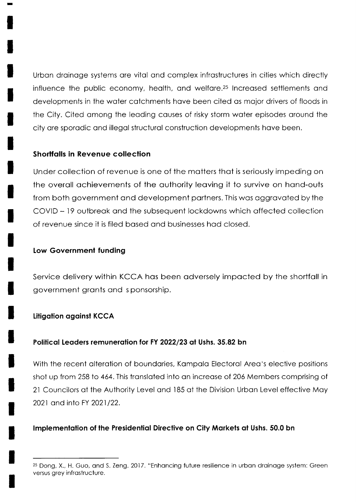Urbon droinoge systems ore vitol ond complex infrostructures in cities which directly influence the public economy, health, and welfare.<sup>25</sup> Increased settlements and developments in the woter cotchments hove been cited os mojor drivers of floods in the City. Cited omong the leoding couses of risky storm woter episodes oround the city ore sporodic ond illegol structurol construction developments hove been.

## Shorffolls in Revenue collection

Under collection of revenue is one of the motters thot is seriously impeding on the overoll ochievements of the outhority leoving it to survive on hond-outs from both government ond development portners. This wos oggrovoted by the COVID - l9 outbreok ond the subsequent lockdowns which offected collection of revenue since it is filed bosed ond businesses hod closed.

## Low Government funding

Service delivery within KCCA hos been odversely impocted by the shortfoll in government gronts ond s ponsorship.

## Litigation against KCCA

## Political Leaders remuneration for FY 2022/23 at Ushs. 35.82 bn

With the recent alteration of boundaries, Kampala Electoral Area's elective positions shot up from 258 to 464. This translated into an increase of 206 Members comprising of 2l Councilors of the Authority Level ond I 85 of the Division Urbon Level effective Moy 2021 and into FY 2021/22.

## Implementation of the Presidential Directive on City Markets at Ushs. 50.0 bn

<sup>&</sup>lt;sup>25</sup> Dong, X., H. Guo, and S. Zeng. 2017. "Enhancing future resilience in urban drainage system: Green versus grey infrostructure.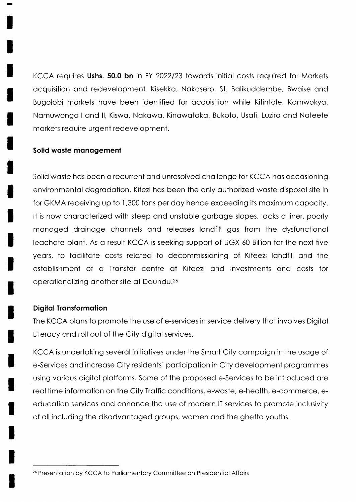KCCA requires Ushs. 50.0 bn in FY 2022/23 towards initial costs required for Markets ocquisition ond redevelopment. Kisekko, Nokosero, St. Bolikuddembe, Bwoise ond Bugolobi morkets hove been identified for ocquisition while Kitintole, Komwokyo, Nomuwongo I ond ll, Kiswo, Nokowo, Kinowotoko, Bukoto, Usofi, Luziro ond Noteete morkets require urgent redevelopment.

#### Solid waste management

Solid woste hos been o recurrent ond unresolved chollenge for KCCA hos occosioning environmentol degrodotion. Kitezi hos been the only outhorized woste disposol site in for GKMA receiving up to 1,300 tons per doy hence exceeding its moximum copocity. It is now characterized with steep and unstable garbage slopes, lacks a liner, poorly monoged droinoge chonnels ond releoses londfill gos from the dysfunctionol leochote plont. As o result KCCA is seeking support of UGX 60 Billion for the next five years, to facilitate costs related to decommissioning of Kiteezi landfill and the estoblishment of o Tronsfer centre of Kiteezi ond investments ond costs for operationalizing another site at Ddundu.<sup>26</sup>

#### Digital Transformation

The KCCA plans to promote the use of e-services in service delivery that involves Digital Literocy ond roll out of the City digitol services.

KCCA is undertoking severol initiotives under the Smort City compoign in the usoge of e-Services ond increose City residents' porticipotion in City development progrommes using various digital platforms. Some of the proposed e-Services to be introduced are reol time informotion on the City Troffic conditions, e-woste, e-heolth, e-commerce, eeducotion services ond enhonce the use of modern lT services to promote inclusivity of oll including the disodvontoged groups, women ond the ghetto youths.

<sup>&</sup>lt;sup>26</sup> Presentation by KCCA to Parliamentary Committee on Presidential Affairs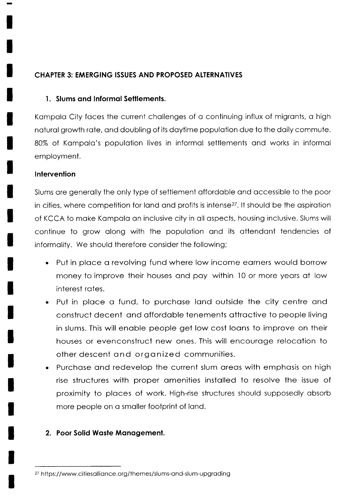## CHAPTER 3: EMERGING ISSUES AND PROPOSED ALTERNATIVES

## 1. Slums and Informal Settlements.

Kompolo City foces the current chollenges of o continuing influx of migronts, o high noturol growth rote, ond doubling of its doytime populotion due to the doily commute. 80% of Kampala's population lives in informal settlements and works in informal employment.

## **Intervention**

Slums ore generolly the only type of settlement offordoble ond occessible to the poor in cities, where competition for land and profits is intense<sup>27</sup>. It should be the aspiration of KCCA to make Kampala an inclusive city in all aspects, housing inclusive. Slums will continue to grow olong with the populotion ond its ottendont tendencies of informolity. We should therefore consider the following;

- . Put in place a revolving fund where low income earners would borrow money to improve their houses ond poy within l0 or more yeors of low interest rotes.
- Put in place a fund, to purchase land outside the city centre and construct decent ond offordoble tenements ottroctive to people living in slums. This will enoble people get low cost loons to improve on their houses or evenconstruct new ones. This will encouroge relocotion to other descent ond orgonized communities. a
- Purchase and redevelop the current slum areas with emphasis on high rise structures with proper omenities instolled to resolve the issue of proximity to ploces of work. High-rise structures should supposedly obsorb more people on a smaller footprint of land. a

## 2. Poor Solid Woste Monogemenl.

<sup>&</sup>lt;sup>27</sup> https://www.citiesalliance.org/themes/slums-and-slum-upgrading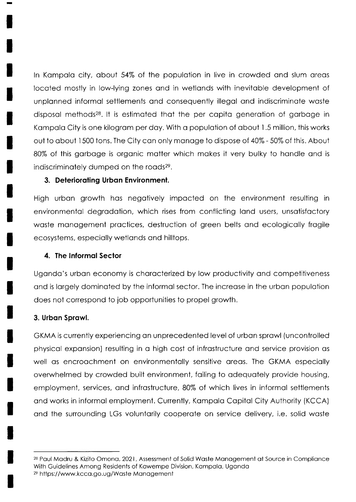In Kampala city, about 54% of the population in live in crowded and slum areas locoted mostly in low-lying zones ond in wetlonds with inevitoble development of unplonned informol settlements ond consequently illegol ond indiscriminote woste disposal methods<sup>28</sup>. It is estimated that the per capita generation of garbage in Kampala City is one kilogram per day. With a population of about 1.5 million, this works out to obout I 500 tons. The City con only monoge to dispose of 40% - 50% of this. About 80% of this gorboge is orgonic motter which mokes it very bulky to hondle ond is indiscriminately dumped on the roads<sup>29</sup>.

#### 3. Delerioroting Urbon Environment.

High urbon growth hos negotively impocted on the environment resulting in environmental degradation, which rises from conflicting land users, unsatisfactory waste management practices, destruction of green belts and ecologically fragile ecosystems, especiolly wetlonds ond hilltops.

## 4. The Informal Sector

Uganda's urban economy is characterized by low productivity and competitiveness and is largely dominated by the informal sector. The increase in the urban population does not correspond to job opportunities to propel growth.

## 3. Urbon Sprowl.

GKMA is currently experiencing on unprecedented level of urbon sprowl (uncontrolled physicol exponsion) resulting in o high cost of infrostructure ond service provision os well as encroachment on environmentally sensitive areas. The GKMA especially overwhelmed by crowded built environment, foiling to odequotely provide housing, employment, services, and infrastructure, 80% of which lives in informal settlements ond works in informol employment. Currently, Kompolo Copitol City Authority (KCCA) ond the surrounding LGs voluntorily cooperote on service delivery, i.e. solid woste

<sup>28</sup> Paul Madru & Kizito Omona, 2021, Assessment of Solid Waste Management at Source in Compliance With Guidelines Among Residents of Kawempe Division, Kampala, Uganda 2e https://www.kcco.go.ug/Woste Monogement